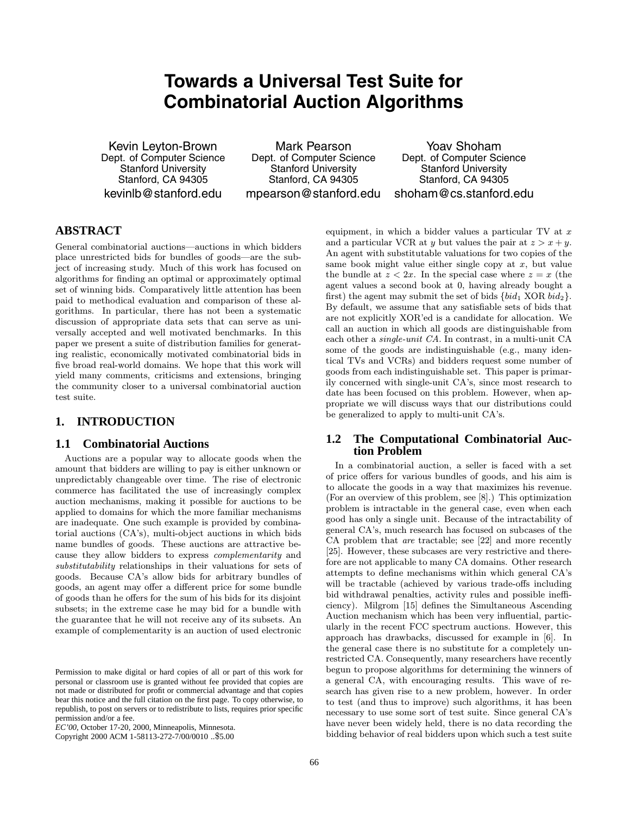# **Towards a Universal Test Suite for Combinatorial Auction Algorithms**

Kevin Leyton-Brown Dept. of Computer Science Stanford University Stanford, CA 94305 kevinlb@stanford.edu

Mark Pearson Dept. of Computer Science Stanford University Stanford, CA 94305 mpearson@stanford.edu

Yoav Shoham Dept. of Computer Science Stanford University Stanford, CA 94305 shoham@cs.stanford.edu

# **ABSTRACT**

General combinatorial auctions—auctions in which bidders place unrestricted bids for bundles of goods—are the subject of increasing study. Much of this work has focused on algorithms for finding an optimal or approximately optimal set of winning bids. Comparatively little attention has been paid to methodical evaluation and comparison of these algorithms. In particular, there has not been a systematic discussion of appropriate data sets that can serve as universally accepted and well motivated benchmarks. In this paper we present a suite of distribution families for generating realistic, economically motivated combinatorial bids in five broad real-world domains. We hope that this work will yield many comments, criticisms and extensions, bringing the community closer to a universal combinatorial auction test suite.

## **1. INTRODUCTION**

## **1.1 Combinatorial Auctions**

Auctions are a popular way to allocate goods when the amount that bidders are willing to pay is either unknown or unpredictably changeable over time. The rise of electronic commerce has facilitated the use of increasingly complex auction mechanisms, making it possible for auctions to be applied to domains for which the more familiar mechanisms are inadequate. One such example is provided by combinatorial auctions (CA's), multi-object auctions in which bids name bundles of goods. These auctions are attractive because they allow bidders to express complementarity and substitutability relationships in their valuations for sets of goods. Because CA's allow bids for arbitrary bundles of goods, an agent may offer a different price for some bundle of goods than he offers for the sum of his bids for its disjoint subsets; in the extreme case he may bid for a bundle with the guarantee that he will not receive any of its subsets. An example of complementarity is an auction of used electronic

Copyright 2000 ACM 1-58113-272-7/00/0010 ..\$5.00

equipment, in which a bidder values a particular TV at  $x$ and a particular VCR at y but values the pair at  $z > x + y$ . An agent with substitutable valuations for two copies of the same book might value either single copy at  $x$ , but value the bundle at  $z < 2x$ . In the special case where  $z = x$  (the agent values a second book at 0, having already bought a first) the agent may submit the set of bids  $\{bid_1 \text{ XOR } bid_2\}.$ By default, we assume that any satisfiable sets of bids that are not explicitly XOR'ed is a candidate for allocation. We call an auction in which all goods are distinguishable from each other a single-unit CA. In contrast, in a multi-unit CA some of the goods are indistinguishable (e.g., many identical TVs and VCRs) and bidders request some number of goods from each indistinguishable set. This paper is primarily concerned with single-unit CA's, since most research to date has been focused on this problem. However, when appropriate we will discuss ways that our distributions could be generalized to apply to multi-unit CA's.

## **1.2 The Computational Combinatorial Auction Problem**

In a combinatorial auction, a seller is faced with a set of price offers for various bundles of goods, and his aim is to allocate the goods in a way that maximizes his revenue. (For an overview of this problem, see [8].) This optimization problem is intractable in the general case, even when each good has only a single unit. Because of the intractability of general CA's, much research has focused on subcases of the CA problem that are tractable; see [22] and more recently [25]. However, these subcases are very restrictive and therefore are not applicable to many CA domains. Other research attempts to define mechanisms within which general CA's will be tractable (achieved by various trade-offs including bid withdrawal penalties, activity rules and possible inefficiency). Milgrom [15] defines the Simultaneous Ascending Auction mechanism which has been very influential, particularly in the recent FCC spectrum auctions. However, this approach has drawbacks, discussed for example in [6]. In the general case there is no substitute for a completely unrestricted CA. Consequently, many researchers have recently begun to propose algorithms for determining the winners of a general CA, with encouraging results. This wave of research has given rise to a new problem, however. In order to test (and thus to improve) such algorithms, it has been necessary to use some sort of test suite. Since general CA's have never been widely held, there is no data recording the bidding behavior of real bidders upon which such a test suite

Permission to make digital or hard copies of all or part of this work for personal or classroom use is granted without fee provided that copies are not made or distributed for profit or commercial advantage and that copies bear this notice and the full citation on the first page. To copy otherwise, to republish, to post on servers or to redistribute to lists, requires prior specific permission and/or a fee.

*EC'00,* October 17-20, 2000, Minneapolis, Minnesota.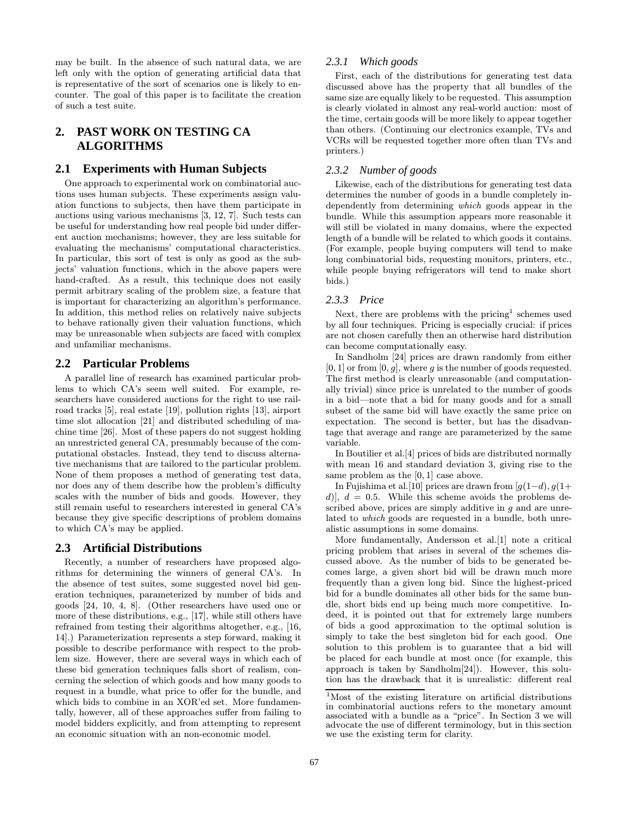may be built. In the absence of such natural data, we are left only with the option of generating artificial data that is representative of the sort of scenarios one is likely to encounter. The goal of this paper is to facilitate the creation of such a test suite.

# **2. PAST WORK ON TESTING CA ALGORITHMS**

## **2.1 Experiments with Human Subjects**

One approach to experimental work on combinatorial auctions uses human subjects. These experiments assign valuation functions to subjects, then have them participate in auctions using various mechanisms [3, 12, 7]. Such tests can be useful for understanding how real people bid under different auction mechanisms; however, they are less suitable for evaluating the mechanisms' computational characteristics. In particular, this sort of test is only as good as the subjects' valuation functions, which in the above papers were hand-crafted. As a result, this technique does not easily permit arbitrary scaling of the problem size, a feature that is important for characterizing an algorithm's performance. In addition, this method relies on relatively naive subjects to behave rationally given their valuation functions, which may be unreasonable when subjects are faced with complex and unfamiliar mechanisms.

## **2.2 Particular Problems**

A parallel line of research has examined particular problems to which CA's seem well suited. For example, researchers have considered auctions for the right to use railroad tracks [5], real estate [19], pollution rights [13], airport time slot allocation [21] and distributed scheduling of machine time [26]. Most of these papers do not suggest holding an unrestricted general CA, presumably because of the computational obstacles. Instead, they tend to discuss alternative mechanisms that are tailored to the particular problem. None of them proposes a method of generating test data, nor does any of them describe how the problem's difficulty scales with the number of bids and goods. However, they still remain useful to researchers interested in general CA's because they give specific descriptions of problem domains to which CA's may be applied.

## **2.3 Artificial Distributions**

Recently, a number of researchers have proposed algorithms for determining the winners of general CA's. In the absence of test suites, some suggested novel bid generation techniques, parameterized by number of bids and goods [24, 10, 4, 8]. (Other researchers have used one or more of these distributions, e.g., [17], while still others have refrained from testing their algorithms altogether, e.g., [16, 14].) Parameterization represents a step forward, making it possible to describe performance with respect to the problem size. However, there are several ways in which each of these bid generation techniques falls short of realism, concerning the selection of which goods and how many goods to request in a bundle, what price to offer for the bundle, and which bids to combine in an XOR'ed set. More fundamentally, however, all of these approaches suffer from failing to model bidders explicitly, and from attempting to represent an economic situation with an non-economic model.

## *2.3.1 Which goods*

First, each of the distributions for generating test data discussed above has the property that all bundles of the same size are equally likely to be requested. This assumption is clearly violated in almost any real-world auction: most of the time, certain goods will be more likely to appear together than others. (Continuing our electronics example, TVs and VCRs will be requested together more often than TVs and printers.)

#### *2.3.2 Number of goods*

Likewise, each of the distributions for generating test data determines the number of goods in a bundle completely independently from determining which goods appear in the bundle. While this assumption appears more reasonable it will still be violated in many domains, where the expected length of a bundle will be related to which goods it contains. (For example, people buying computers will tend to make long combinatorial bids, requesting monitors, printers, etc., while people buying refrigerators will tend to make short bids.)

#### *2.3.3 Price*

Next, there are problems with the pricing<sup>1</sup> schemes used by all four techniques. Pricing is especially crucial: if prices are not chosen carefully then an otherwise hard distribution can become computationally easy.

In Sandholm [24] prices are drawn randomly from either  $[0, 1]$  or from  $[0, g]$ , where g is the number of goods requested. The first method is clearly unreasonable (and computationally trivial) since price is unrelated to the number of goods in a bid—note that a bid for many goods and for a small subset of the same bid will have exactly the same price on expectation. The second is better, but has the disadvantage that average and range are parameterized by the same variable.

In Boutilier et al.[4] prices of bids are distributed normally with mean 16 and standard deviation 3, giving rise to the same problem as the  $[0, 1]$  case above.

In Fujishima et al.[10] prices are drawn from  $[g(1-d), g(1+$ d)],  $d = 0.5$ . While this scheme avoids the problems described above, prices are simply additive in  $q$  and are unrelated to which goods are requested in a bundle, both unrealistic assumptions in some domains.

More fundamentally, Andersson et al.[1] note a critical pricing problem that arises in several of the schemes discussed above. As the number of bids to be generated becomes large, a given short bid will be drawn much more frequently than a given long bid. Since the highest-priced bid for a bundle dominates all other bids for the same bundle, short bids end up being much more competitive. Indeed, it is pointed out that for extremely large numbers of bids a good approximation to the optimal solution is simply to take the best singleton bid for each good. One solution to this problem is to guarantee that a bid will be placed for each bundle at most once (for example, this approach is taken by Sandholm[24]). However, this solution has the drawback that it is unrealistic: different real

<sup>1</sup>Most of the existing literature on artificial distributions in combinatorial auctions refers to the monetary amount associated with a bundle as a "price". In Section 3 we will advocate the use of different terminology, but in this section we use the existing term for clarity.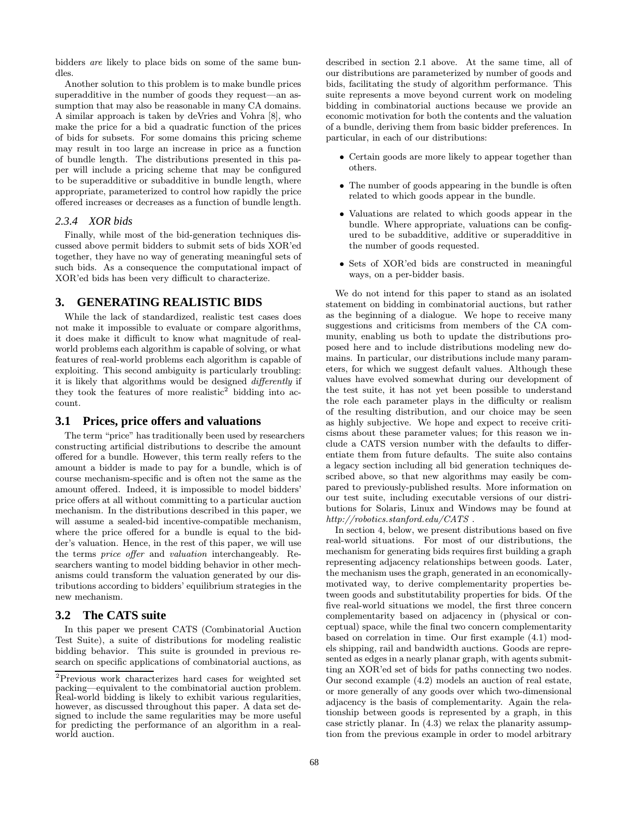bidders are likely to place bids on some of the same bundles.

Another solution to this problem is to make bundle prices superadditive in the number of goods they request—an assumption that may also be reasonable in many CA domains. A similar approach is taken by deVries and Vohra [8], who make the price for a bid a quadratic function of the prices of bids for subsets. For some domains this pricing scheme may result in too large an increase in price as a function of bundle length. The distributions presented in this paper will include a pricing scheme that may be configured to be superadditive or subadditive in bundle length, where appropriate, parameterized to control how rapidly the price offered increases or decreases as a function of bundle length.

#### *2.3.4 XOR bids*

Finally, while most of the bid-generation techniques discussed above permit bidders to submit sets of bids XOR'ed together, they have no way of generating meaningful sets of such bids. As a consequence the computational impact of XOR'ed bids has been very difficult to characterize.

## **3. GENERATING REALISTIC BIDS**

While the lack of standardized, realistic test cases does not make it impossible to evaluate or compare algorithms, it does make it difficult to know what magnitude of realworld problems each algorithm is capable of solving, or what features of real-world problems each algorithm is capable of exploiting. This second ambiguity is particularly troubling: it is likely that algorithms would be designed differently if they took the features of more realistic<sup>2</sup> bidding into account.

#### **3.1 Prices, price offers and valuations**

The term "price" has traditionally been used by researchers constructing artificial distributions to describe the amount offered for a bundle. However, this term really refers to the amount a bidder is made to pay for a bundle, which is of course mechanism-specific and is often not the same as the amount offered. Indeed, it is impossible to model bidders' price offers at all without committing to a particular auction mechanism. In the distributions described in this paper, we will assume a sealed-bid incentive-compatible mechanism, where the price offered for a bundle is equal to the bidder's valuation. Hence, in the rest of this paper, we will use the terms price offer and valuation interchangeably. Researchers wanting to model bidding behavior in other mechanisms could transform the valuation generated by our distributions according to bidders' equilibrium strategies in the new mechanism.

#### **3.2 The CATS suite**

In this paper we present CATS (Combinatorial Auction Test Suite), a suite of distributions for modeling realistic bidding behavior. This suite is grounded in previous research on specific applications of combinatorial auctions, as described in section 2.1 above. At the same time, all of our distributions are parameterized by number of goods and bids, facilitating the study of algorithm performance. This suite represents a move beyond current work on modeling bidding in combinatorial auctions because we provide an economic motivation for both the contents and the valuation of a bundle, deriving them from basic bidder preferences. In particular, in each of our distributions:

- Certain goods are more likely to appear together than others.
- The number of goods appearing in the bundle is often related to which goods appear in the bundle.
- Valuations are related to which goods appear in the bundle. Where appropriate, valuations can be configured to be subadditive, additive or superadditive in the number of goods requested.
- Sets of XOR'ed bids are constructed in meaningful ways, on a per-bidder basis.

We do not intend for this paper to stand as an isolated statement on bidding in combinatorial auctions, but rather as the beginning of a dialogue. We hope to receive many suggestions and criticisms from members of the CA community, enabling us both to update the distributions proposed here and to include distributions modeling new domains. In particular, our distributions include many parameters, for which we suggest default values. Although these values have evolved somewhat during our development of the test suite, it has not yet been possible to understand the role each parameter plays in the difficulty or realism of the resulting distribution, and our choice may be seen as highly subjective. We hope and expect to receive criticisms about these parameter values; for this reason we include a CATS version number with the defaults to differentiate them from future defaults. The suite also contains a legacy section including all bid generation techniques described above, so that new algorithms may easily be compared to previously-published results. More information on our test suite, including executable versions of our distributions for Solaris, Linux and Windows may be found at http://robotics.stanford.edu/CATS .

In section 4, below, we present distributions based on five real-world situations. For most of our distributions, the mechanism for generating bids requires first building a graph representing adjacency relationships between goods. Later, the mechanism uses the graph, generated in an economicallymotivated way, to derive complementarity properties between goods and substitutability properties for bids. Of the five real-world situations we model, the first three concern complementarity based on adjacency in (physical or conceptual) space, while the final two concern complementarity based on correlation in time. Our first example (4.1) models shipping, rail and bandwidth auctions. Goods are represented as edges in a nearly planar graph, with agents submitting an XOR'ed set of bids for paths connecting two nodes. Our second example (4.2) models an auction of real estate, or more generally of any goods over which two-dimensional adjacency is the basis of complementarity. Again the relationship between goods is represented by a graph, in this case strictly planar. In (4.3) we relax the planarity assumption from the previous example in order to model arbitrary

<sup>2</sup>Previous work characterizes hard cases for weighted set packing—equivalent to the combinatorial auction problem. Real-world bidding is likely to exhibit various regularities, however, as discussed throughout this paper. A data set designed to include the same regularities may be more useful for predicting the performance of an algorithm in a realworld auction.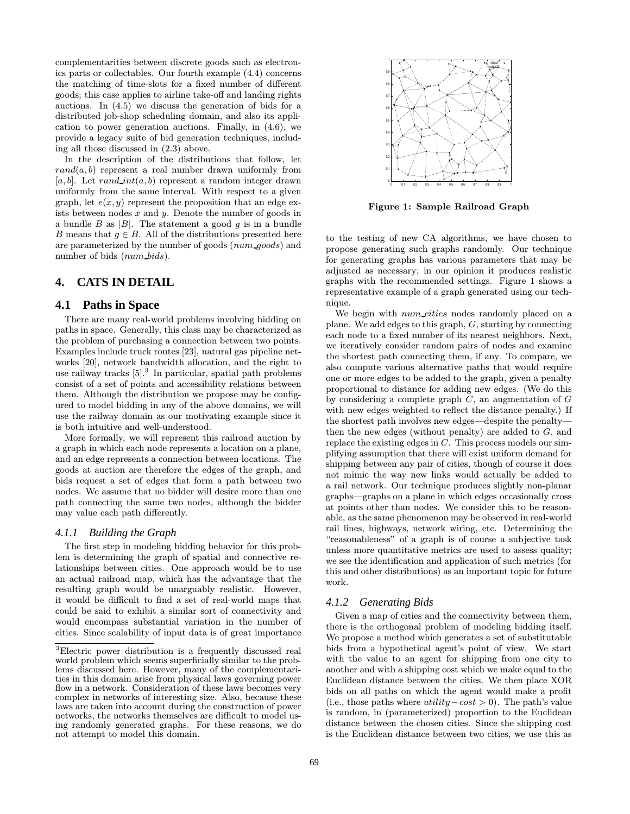complementarities between discrete goods such as electronics parts or collectables. Our fourth example (4.4) concerns the matching of time-slots for a fixed number of different goods; this case applies to airline take-off and landing rights auctions. In (4.5) we discuss the generation of bids for a distributed job-shop scheduling domain, and also its application to power generation auctions. Finally, in (4.6), we provide a legacy suite of bid generation techniques, including all those discussed in (2.3) above.

In the description of the distributions that follow, let  $rand(a, b)$  represent a real number drawn uniformly from  $[a, b]$ . Let rand int $(a, b)$  represent a random integer drawn uniformly from the same interval. With respect to a given graph, let  $e(x, y)$  represent the proposition that an edge exists between nodes  $x$  and  $y$ . Denote the number of goods in a bundle  $B$  as  $|B|$ . The statement a good  $g$  is in a bundle B means that  $g \in B$ . All of the distributions presented here are parameterized by the number of goods (num goods) and number of bids (*num bids*).

# **4. CATS IN DETAIL**

#### **4.1 Paths in Space**

There are many real-world problems involving bidding on paths in space. Generally, this class may be characterized as the problem of purchasing a connection between two points. Examples include truck routes [23], natural gas pipeline networks [20], network bandwidth allocation, and the right to use railway tracks [5].<sup>3</sup> In particular, spatial path problems consist of a set of points and accessibility relations between them. Although the distribution we propose may be configured to model bidding in any of the above domains, we will use the railway domain as our motivating example since it is both intuitive and well-understood.

More formally, we will represent this railroad auction by a graph in which each node represents a location on a plane, and an edge represents a connection between locations. The goods at auction are therefore the edges of the graph, and bids request a set of edges that form a path between two nodes. We assume that no bidder will desire more than one path connecting the same two nodes, although the bidder may value each path differently.

#### *4.1.1 Building the Graph*

The first step in modeling bidding behavior for this problem is determining the graph of spatial and connective relationships between cities. One approach would be to use an actual railroad map, which has the advantage that the resulting graph would be unarguably realistic. However, it would be difficult to find a set of real-world maps that could be said to exhibit a similar sort of connectivity and would encompass substantial variation in the number of cities. Since scalability of input data is of great importance



Figure 1: Sample Railroad Graph

to the testing of new CA algorithms, we have chosen to propose generating such graphs randomly. Our technique for generating graphs has various parameters that may be adjusted as necessary; in our opinion it produces realistic graphs with the recommended settings. Figure 1 shows a representative example of a graph generated using our technique.

We begin with *num cities* nodes randomly placed on a plane. We add edges to this graph, G, starting by connecting each node to a fixed number of its nearest neighbors. Next, we iteratively consider random pairs of nodes and examine the shortest path connecting them, if any. To compare, we also compute various alternative paths that would require one or more edges to be added to the graph, given a penalty proportional to distance for adding new edges. (We do this by considering a complete graph  $C$ , an augmentation of  $G$ with new edges weighted to reflect the distance penalty.) If the shortest path involves new edges—despite the penalty then the new edges (without penalty) are added to  $G$ , and replace the existing edges in  $C$ . This process models our simplifying assumption that there will exist uniform demand for shipping between any pair of cities, though of course it does not mimic the way new links would actually be added to a rail network. Our technique produces slightly non-planar graphs—graphs on a plane in which edges occasionally cross at points other than nodes. We consider this to be reasonable, as the same phenomenon may be observed in real-world rail lines, highways, network wiring, etc. Determining the "reasonableness" of a graph is of course a subjective task unless more quantitative metrics are used to assess quality; we see the identification and application of such metrics (for this and other distributions) as an important topic for future work.

#### *4.1.2 Generating Bids*

Given a map of cities and the connectivity between them, there is the orthogonal problem of modeling bidding itself. We propose a method which generates a set of substitutable bids from a hypothetical agent's point of view. We start with the value to an agent for shipping from one city to another and with a shipping cost which we make equal to the Euclidean distance between the cities. We then place XOR bids on all paths on which the agent would make a profit (i.e., those paths where  $utility-cost > 0$ ). The path's value is random, in (parameterized) proportion to the Euclidean distance between the chosen cities. Since the shipping cost is the Euclidean distance between two cities, we use this as

<sup>3</sup>Electric power distribution is a frequently discussed real world problem which seems superficially similar to the problems discussed here. However, many of the complementarities in this domain arise from physical laws governing power flow in a network. Consideration of these laws becomes very complex in networks of interesting size. Also, because these laws are taken into account during the construction of power networks, the networks themselves are difficult to model using randomly generated graphs. For these reasons, we do not attempt to model this domain.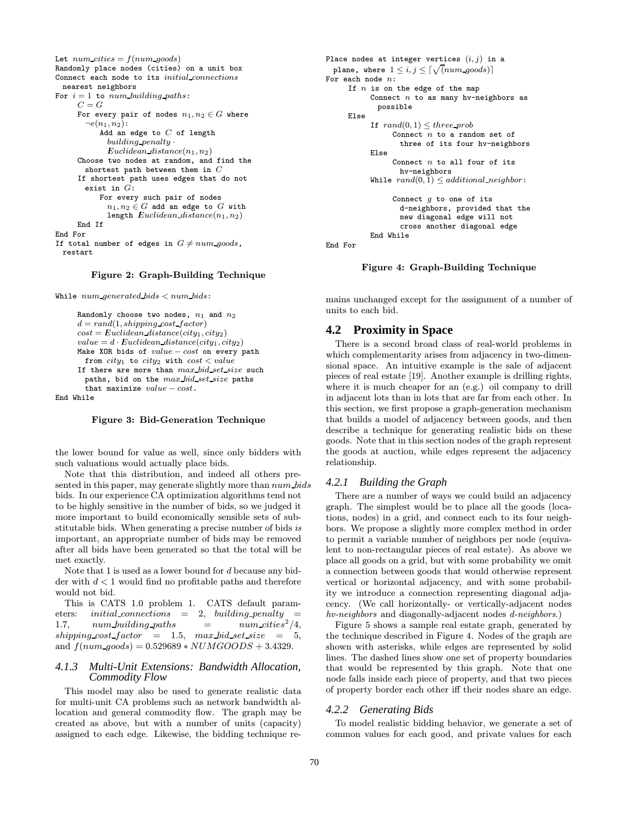Let  $num\_cities = f(num\_goods)$ Randomly place nodes (cities) on a unit box Connect each node to its initial connections nearest neighbors For  $i = 1$  to num building paths:  $C = G$ For every pair of nodes  $n_1, n_2 \in G$  where  $\neg e(n_1, n_2)$ : Add an edge to  $C$  of length  $building\_penalty \cdot$  $Euclidean\ distance(n_1, n_2)$ Choose two nodes at random, and find the shortest path between them in  $C$ If shortest path uses edges that do not exist in  $G$ : For every such pair of nodes  $n_1, n_2 \in G$  add an edge to G with length  $Euclidean\_distance(n_1, n_2)$ End If End For If total number of edges in  $G \neq num\_{goods}$ , restart

### Figure 2: Graph-Building Technique

While  $num\_generated\_bids < num\_bids$ :

```
Randomly choose two nodes, n_1 and n_2d = rand(1, shipping\_cost\_factor)cost = Euclidean\ distance(city_1, city_2)value = d \cdot Euclidean\_distance(city_1, city_2)Make XOR bids of value - cost on every path
       from city_1 to city_2 with cost < valueIf there are more than max\_bid\_set\_size such
       paths, bid on the max bid set size paths
       that maximize value - cost.
End While
```
#### Figure 3: Bid-Generation Technique

the lower bound for value as well, since only bidders with such valuations would actually place bids.

Note that this distribution, and indeed all others presented in this paper, may generate slightly more than  $num\_bids$ bids. In our experience CA optimization algorithms tend not to be highly sensitive in the number of bids, so we judged it more important to build economically sensible sets of substitutable bids. When generating a precise number of bids is important, an appropriate number of bids may be removed after all bids have been generated so that the total will be met exactly.

Note that 1 is used as a lower bound for d because any bidder with  $d < 1$  would find no profitable paths and therefore would not bid.

This is CATS 1.0 problem 1. CATS default parameters: *initial connections* = 2, *building penalty* = 1.7, num building paths  $=$  num cities<sup>2</sup>/4, shipping cost factor = 1.5, max bid set size = 5, and  $f(num\_qoods) = 0.529689 * NUMGOOD + 3.4329.$ 

#### *4.1.3 Multi-Unit Extensions: Bandwidth Allocation, Commodity Flow*

This model may also be used to generate realistic data for multi-unit CA problems such as network bandwidth allocation and general commodity flow. The graph may be created as above, but with a number of units (capacity) assigned to each edge. Likewise, the bidding technique re-

```
Place nodes at integer vertices (i, j) in a
 plane, where 1 \leq i, j \leq \lceil \sqrt{(num\_goods)} \rceilFor each node n:
     If n is on the edge of the map
           Connect n to as many hv-neighbors as
             possible
     Else
           If rand(0, 1) \leq three prob
                 Connect n to a random set of
                  three of its four hv-neighbors
           Else
                 Connect n to all four of its
                  hv-neighbors
           While rand(0, 1) \leq additional\_neighbor:
                 Connect q to one of its
                  d-neighbors, provided that the
                  new diagonal edge will not
                  cross another diagonal edge
           End While
```
End For

#### Figure 4: Graph-Building Technique

mains unchanged except for the assignment of a number of units to each bid.

#### **4.2 Proximity in Space**

There is a second broad class of real-world problems in which complementarity arises from adjacency in two-dimensional space. An intuitive example is the sale of adjacent pieces of real estate [19]. Another example is drilling rights, where it is much cheaper for an (e.g.) oil company to drill in adjacent lots than in lots that are far from each other. In this section, we first propose a graph-generation mechanism that builds a model of adjacency between goods, and then describe a technique for generating realistic bids on these goods. Note that in this section nodes of the graph represent the goods at auction, while edges represent the adjacency relationship.

#### *4.2.1 Building the Graph*

There are a number of ways we could build an adjacency graph. The simplest would be to place all the goods (locations, nodes) in a grid, and connect each to its four neighbors. We propose a slightly more complex method in order to permit a variable number of neighbors per node (equivalent to non-rectangular pieces of real estate). As above we place all goods on a grid, but with some probability we omit a connection between goods that would otherwise represent vertical or horizontal adjacency, and with some probability we introduce a connection representing diagonal adjacency. (We call horizontally- or vertically-adjacent nodes hv-neighbors and diagonally-adjacent nodes d-neighbors.)

Figure 5 shows a sample real estate graph, generated by the technique described in Figure 4. Nodes of the graph are shown with asterisks, while edges are represented by solid lines. The dashed lines show one set of property boundaries that would be represented by this graph. Note that one node falls inside each piece of property, and that two pieces of property border each other iff their nodes share an edge.

#### *4.2.2 Generating Bids*

To model realistic bidding behavior, we generate a set of common values for each good, and private values for each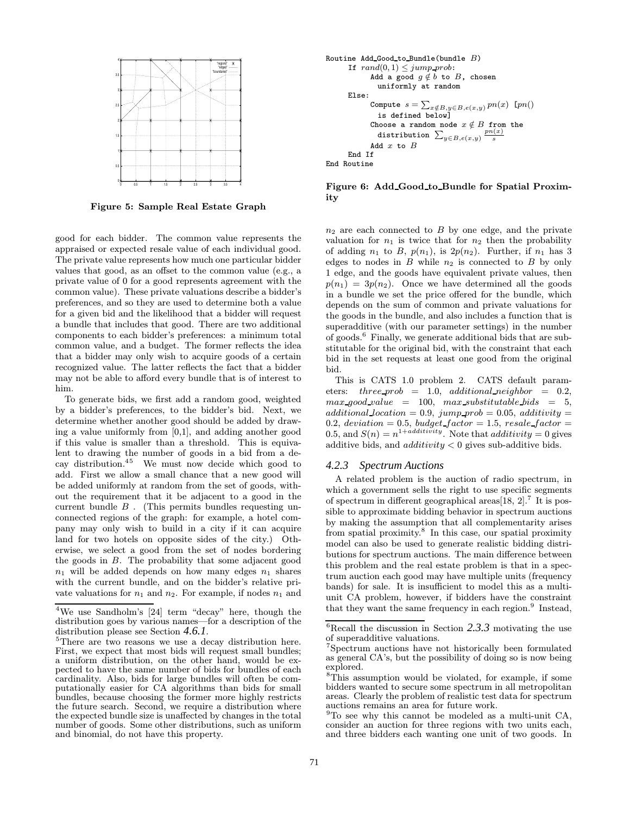

Figure 5: Sample Real Estate Graph

good for each bidder. The common value represents the appraised or expected resale value of each individual good. The private value represents how much one particular bidder values that good, as an offset to the common value (e.g., a private value of 0 for a good represents agreement with the common value). These private valuations describe a bidder's preferences, and so they are used to determine both a value for a given bid and the likelihood that a bidder will request a bundle that includes that good. There are two additional components to each bidder's preferences: a minimum total common value, and a budget. The former reflects the idea that a bidder may only wish to acquire goods of a certain recognized value. The latter reflects the fact that a bidder may not be able to afford every bundle that is of interest to him.

To generate bids, we first add a random good, weighted by a bidder's preferences, to the bidder's bid. Next, we determine whether another good should be added by drawing a value uniformly from [0,1], and adding another good if this value is smaller than a threshold. This is equivalent to drawing the number of goods in a bid from a decay distribution.<sup>45</sup> We must now decide which good to add. First we allow a small chance that a new good will be added uniformly at random from the set of goods, without the requirement that it be adjacent to a good in the current bundle B . (This permits bundles requesting unconnected regions of the graph: for example, a hotel company may only wish to build in a city if it can acquire land for two hotels on opposite sides of the city.) Otherwise, we select a good from the set of nodes bordering the goods in B. The probability that some adjacent good  $n_1$  will be added depends on how many edges  $n_1$  shares with the current bundle, and on the bidder's relative private valuations for  $n_1$  and  $n_2$ . For example, if nodes  $n_1$  and

```
Routine Add Good to Bundle(bundle B)
      If rand(0, 1) \leq jump\_prob:
            Add a good g \notin b to B, chosen
              uniformly at random
      Else:
             Compute s = \sum_{x \notin B, y \in B, e(x,y)} pn(x) [pn()is defined below]
            Choose a random node x \notin B from the
               distribution \sum_{y\in B, e(x,y)} \frac{p n(x)}{s}Add x to BEnd If
End Routine
```
#### Figure 6: Add Good to Bundle for Spatial Proximity

 $n_2$  are each connected to  $B$  by one edge, and the private valuation for  $n_1$  is twice that for  $n_2$  then the probability of adding  $n_1$  to B,  $p(n_1)$ , is  $2p(n_2)$ . Further, if  $n_1$  has 3 edges to nodes in B while  $n_2$  is connected to B by only 1 edge, and the goods have equivalent private values, then  $p(n_1)=3p(n_2)$ . Once we have determined all the goods in a bundle we set the price offered for the bundle, which depends on the sum of common and private valuations for the goods in the bundle, and also includes a function that is superadditive (with our parameter settings) in the number of goods.<sup>6</sup> Finally, we generate additional bids that are substitutable for the original bid, with the constraint that each bid in the set requests at least one good from the original bid.

This is CATS 1.0 problem 2. CATS default parameters: three prob = 1.0, additional neighbor = 0.2,  $max\_qood\_value = 100$ ,  $max\_\text{substitutable\_bids} = 5$ , additional location = 0.9, jump prob = 0.05, additivity = 0.2, deviation = 0.5, budget  $factor = 1.5$ , resale  $factor =$ 0.5, and  $S(n) = n^{1+additivity}$ . Note that *additivity* = 0 gives additive bids, and  $additivity < 0$  gives sub-additive bids.

#### *4.2.3 Spectrum Auctions*

A related problem is the auction of radio spectrum, in which a government sells the right to use specific segments of spectrum in different geographical areas $[18, 2]$ .<sup>7</sup> It is possible to approximate bidding behavior in spectrum auctions by making the assumption that all complementarity arises from spatial proximity.<sup>8</sup> In this case, our spatial proximity model can also be used to generate realistic bidding distributions for spectrum auctions. The main difference between this problem and the real estate problem is that in a spectrum auction each good may have multiple units (frequency bands) for sale. It is insufficient to model this as a multiunit CA problem, however, if bidders have the constraint that they want the same frequency in each region. $9$  Instead,

<sup>4</sup>We use Sandholm's [24] term "decay" here, though the distribution goes by various names—for a description of the distribution please see Section  $4.6.1$ .

<sup>&</sup>lt;sup>5</sup>There are two reasons we use a decay distribution here. First, we expect that most bids will request small bundles; a uniform distribution, on the other hand, would be expected to have the same number of bids for bundles of each cardinality. Also, bids for large bundles will often be computationally easier for CA algorithms than bids for small bundles, because choosing the former more highly restricts the future search. Second, we require a distribution where the expected bundle size is unaffected by changes in the total number of goods. Some other distributions, such as uniform and binomial, do not have this property.

<sup>6</sup>Recall the discussion in Section *2.3.3* motivating the use of superadditive valuations.

<sup>7</sup>Spectrum auctions have not historically been formulated as general CA's, but the possibility of doing so is now being explored.

<sup>8</sup>This assumption would be violated, for example, if some bidders wanted to secure some spectrum in all metropolitan areas. Clearly the problem of realistic test data for spectrum auctions remains an area for future work.

<sup>9</sup>To see why this cannot be modeled as a multi-unit CA, consider an auction for three regions with two units each, and three bidders each wanting one unit of two goods. In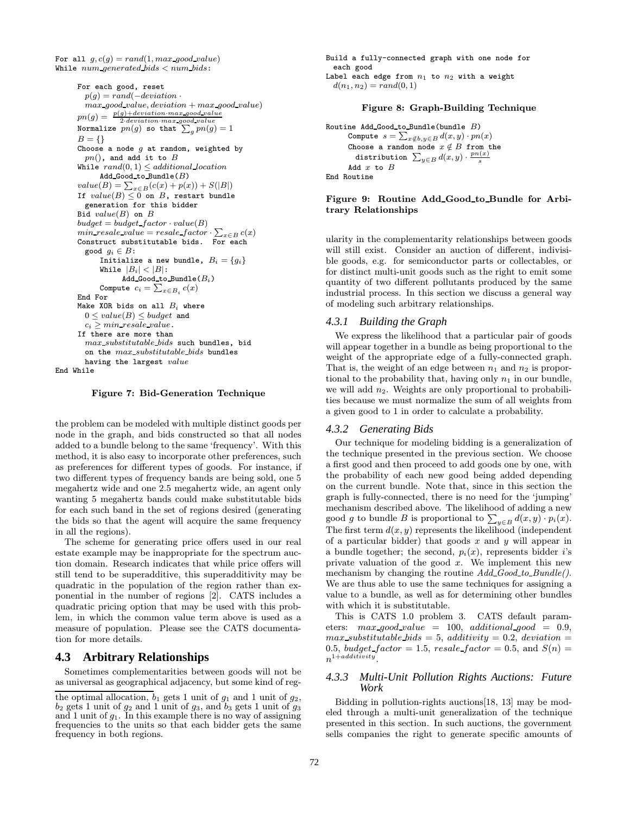For all  $g, c(g) = rand(1, max\_good\_value)$ While  $num\_generated\_bids < num\_bids$ :

For each good, reset  $p(g) = rand(-deviation \; \cdot \;$  $max\_good\_value, deviation + max\_good\_value)$  $p n(g) = \frac{p(g) + deviation \, max \, good \, value}{2 \, deviation \, max \, good \, value}$ 2·deviation·max good value Normalize  $pn(g)$  so that  $\sum_g pn(g)=1$  $B = \{\}$ Choose a node  $g$  at random, weighted by  $pn()$ , and add it to  $B$ While  $rand(0, 1) \leq additional\_location$  $Add\_Good\_to\_Bundle(B)$  $value(B) = \sum_{x \in B} (c(x) + p(x)) + S(|B|)$ If  $value(B) \leq 0$  on  $B$ , restart bundle generation for this bidder Bid  $value(B)$  on  $B$  $budget = budget\_factor \cdot value(B)$  $min\_resale\_value = resale\_factor \cdot \sum_{x \in B} c(x)$ Construct substitutable bids. For each good  $g_i \in B$ : Initialize a new bundle,  $B_i = \{g_i\}$ While  $|B_i| < |B|$ : Add Good to Bundle $(B_i)$ Compute  $c_i = \sum_{x \in B_i} c(x)$ End For Make XOR bids on all  $B_i$  where  $0 \le value(B) \le budget$  and  $c_i \geq min\_resale\_value.$ If there are more than max substitutable bids such bundles, bid on the  $max\_substitutable\_bids$  bundles having the largest  $value$ End While

Figure 7: Bid-Generation Technique

the problem can be modeled with multiple distinct goods per node in the graph, and bids constructed so that all nodes added to a bundle belong to the same 'frequency'. With this method, it is also easy to incorporate other preferences, such as preferences for different types of goods. For instance, if two different types of frequency bands are being sold, one 5 megahertz wide and one 2.5 megahertz wide, an agent only wanting 5 megahertz bands could make substitutable bids for each such band in the set of regions desired (generating the bids so that the agent will acquire the same frequency in all the regions).

The scheme for generating price offers used in our real estate example may be inappropriate for the spectrum auction domain. Research indicates that while price offers will still tend to be superadditive, this superadditivity may be quadratic in the population of the region rather than exponential in the number of regions [2]. CATS includes a quadratic pricing option that may be used with this problem, in which the common value term above is used as a measure of population. Please see the CATS documentation for more details.

## **4.3 Arbitrary Relationships**

Sometimes complementarities between goods will not be as universal as geographical adjacency, but some kind of regBuild a fully-connected graph with one node for each good Label each edge from  $n_1$  to  $n_2$  with a weight  $d(n_1, n_2) = rand(0, 1)$ 

#### Figure 8: Graph-Building Technique

```
Routine Add Good to Bundle(bundle B)
       Compute s = \sum_{x \notin b, y \in B} d(x, y) \cdot pn(x)Choose a random node x \notin B from the
         distribution \sum_{y\in B} d(x,y)\cdot \frac{pn(x)}{s}Add x to BEnd Routine
```
#### Figure 9: Routine Add Good to Bundle for Arbitrary Relationships

ularity in the complementarity relationships between goods will still exist. Consider an auction of different, indivisible goods, e.g. for semiconductor parts or collectables, or for distinct multi-unit goods such as the right to emit some quantity of two different pollutants produced by the same industrial process. In this section we discuss a general way of modeling such arbitrary relationships.

#### *4.3.1 Building the Graph*

We express the likelihood that a particular pair of goods will appear together in a bundle as being proportional to the weight of the appropriate edge of a fully-connected graph. That is, the weight of an edge between  $n_1$  and  $n_2$  is proportional to the probability that, having only  $n_1$  in our bundle, we will add  $n_2$ . Weights are only proportional to probabilities because we must normalize the sum of all weights from a given good to 1 in order to calculate a probability.

#### *4.3.2 Generating Bids*

Our technique for modeling bidding is a generalization of the technique presented in the previous section. We choose a first good and then proceed to add goods one by one, with the probability of each new good being added depending on the current bundle. Note that, since in this section the graph is fully-connected, there is no need for the 'jumping' mechanism described above. The likelihood of adding a new good g to bundle B is proportional to  $\sum_{y \in B} d(x, y) \cdot p_i(x)$ . The first term  $d(x, y)$  represents the likelihood (independent of a particular bidder) that goods  $x$  and  $y$  will appear in a bundle together; the second,  $p_i(x)$ , represents bidder i's private valuation of the good  $x$ . We implement this new mechanism by changing the routine  $Add\_Good\_to\_Bundle($ . We are thus able to use the same techniques for assigning a value to a bundle, as well as for determining other bundles with which it is substitutable.

This is CATS 1.0 problem 3. CATS default parameters:  $max_{q} good\_value = 100$ ,  $additional_{q}ood = 0.9$ ,  $max\_substitutable\_bids = 5$ ,  $additivity = 0.2$ ,  $deviation =$ 0.5, budget factor = 1.5, resale factor = 0.5, and  $S(n)$  =  $n^{1+additivity}$ 

#### *4.3.3 Multi-Unit Pollution Rights Auctions: Future Work*

Bidding in pollution-rights auctions[18, 13] may be modeled through a multi-unit generalization of the technique presented in this section. In such auctions, the government sells companies the right to generate specific amounts of

the optimal allocation,  $b_1$  gets 1 unit of  $g_1$  and 1 unit of  $g_2$ ,  $b_2$  gets 1 unit of  $g_2$  and 1 unit of  $g_3$ , and  $b_3$  gets 1 unit of  $g_3$ and 1 unit of  $g_1$ . In this example there is no way of assigning frequencies to the units so that each bidder gets the same frequency in both regions.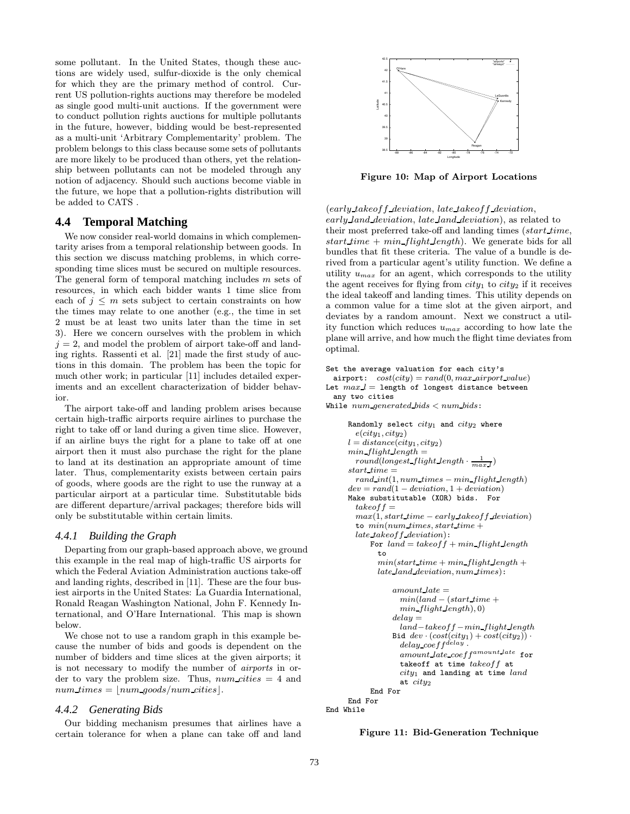some pollutant. In the United States, though these auctions are widely used, sulfur-dioxide is the only chemical for which they are the primary method of control. Current US pollution-rights auctions may therefore be modeled as single good multi-unit auctions. If the government were to conduct pollution rights auctions for multiple pollutants in the future, however, bidding would be best-represented as a multi-unit 'Arbitrary Complementarity' problem. The problem belongs to this class because some sets of pollutants are more likely to be produced than others, yet the relationship between pollutants can not be modeled through any notion of adjacency. Should such auctions become viable in the future, we hope that a pollution-rights distribution will be added to CATS .

## **4.4 Temporal Matching**

We now consider real-world domains in which complementarity arises from a temporal relationship between goods. In this section we discuss matching problems, in which corresponding time slices must be secured on multiple resources. The general form of temporal matching includes m sets of resources, in which each bidder wants 1 time slice from each of  $j \leq m$  sets subject to certain constraints on how the times may relate to one another (e.g., the time in set 2 must be at least two units later than the time in set 3). Here we concern ourselves with the problem in which  $j = 2$ , and model the problem of airport take-off and landing rights. Rassenti et al. [21] made the first study of auctions in this domain. The problem has been the topic for much other work; in particular [11] includes detailed experiments and an excellent characterization of bidder behavior.

The airport take-off and landing problem arises because certain high-traffic airports require airlines to purchase the right to take off or land during a given time slice. However, if an airline buys the right for a plane to take off at one airport then it must also purchase the right for the plane to land at its destination an appropriate amount of time later. Thus, complementarity exists between certain pairs of goods, where goods are the right to use the runway at a particular airport at a particular time. Substitutable bids are different departure/arrival packages; therefore bids will only be substitutable within certain limits.

#### *4.4.1 Building the Graph*

Departing from our graph-based approach above, we ground this example in the real map of high-traffic US airports for which the Federal Aviation Administration auctions take-off and landing rights, described in [11]. These are the four busiest airports in the United States: La Guardia International, Ronald Reagan Washington National, John F. Kennedy International, and O'Hare International. This map is shown below.

We chose not to use a random graph in this example because the number of bids and goods is dependent on the number of bidders and time slices at the given airports; it is not necessary to modify the number of airports in order to vary the problem size. Thus,  $num\_cities = 4$  and  $num\_times = |num\_goods/num\_cities|.$ 

#### *4.4.2 Generating Bids*

Our bidding mechanism presumes that airlines have a certain tolerance for when a plane can take off and land



Figure 10: Map of Airport Locations

(early takeoff deviation, late takeoff deviation,

early land deviation, late land deviation), as related to their most preferred take-off and landing times (start time, start time  $+$  min flight length). We generate bids for all bundles that fit these criteria. The value of a bundle is derived from a particular agent's utility function. We define a utility  $u_{max}$  for an agent, which corresponds to the utility the agent receives for flying from  $city_1$  to  $city_2$  if it receives the ideal takeoff and landing times. This utility depends on a common value for a time slot at the given airport, and deviates by a random amount. Next we construct a utility function which reduces  $u_{max}$  according to how late the plane will arrive, and how much the flight time deviates from optimal.

```
Set the average valuation for each city's
  \texttt{airport:} \quad \textit{cost}(\textit{city}) = \textit{rand}(0, \textit{max\_airport\_value})Let max_l = length of longest distance between
  any two cities
While num\_generated\_bids < num\_bids:
```

```
Randomly select city_1 and city_2 where
        e(city_1, city_2)l = distance(city_1, city_2)min\_flight\_length =round(longest\_flight\_length \cdot \frac{1}{max\_l})start time =rand.int(1, num\_times - min\_flight\_length)dev = rand(1 - deviation, 1 + deviation)Make substitutable (XOR) bids. For
        takeoff =max(1, start\_time - early\_takeoff\_deviation)to min(num\_times, start\_time +late\_takeoff\_deviation):For land = takeoff + min\_flight length
              to
              min(start\_time + min\_flight\_length +late land deviation, num times):
                  amount\_late =min(land - (start\_time +min\_flight\_length), 0)
                  delay =land-takeoff-min\_flight\_lengthBid dev \cdot (cost(city_1) + cost(city_2)) \cdot<br>delay coef f^{delay}.
                    amount\_late\_coeff^{amount\_late} {\color{red} for}takeoff at time \emph{takeoff} at
                    city_1 and landing at time land
                    at city2
            End For
      End For
End While
```
Figure 11: Bid-Generation Technique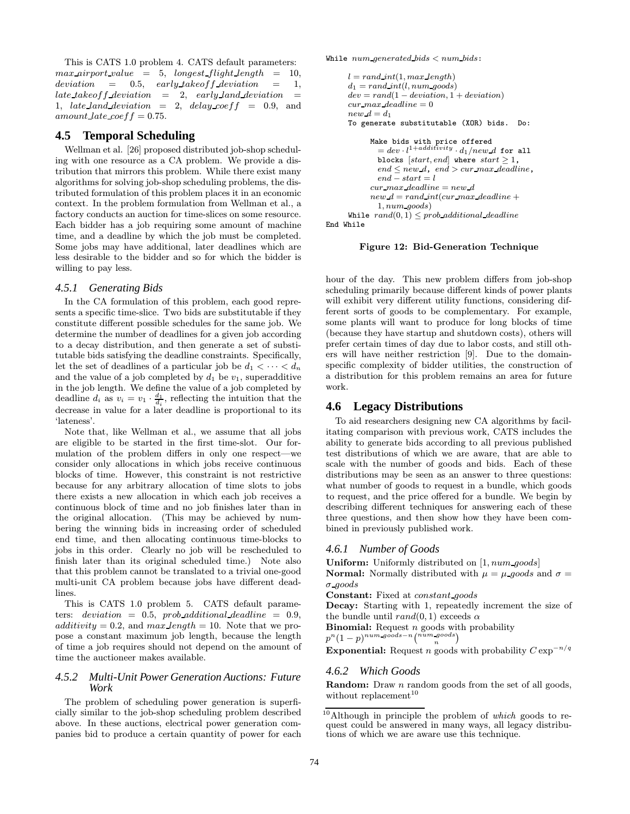This is CATS 1.0 problem 4. CATS default parameters:  $max\_ airport\_value = 5, longest\_flight\_length = 10,$  $deviation = 0.5, early\_takeoff\_deviation = 1,$  $late\_takeoff\_deviation = 2, early\_land\_deviation =$ 1, *late land deviation* = 2, *delay coeff* = 0.9, and amount late  $\cos f f = 0.75$ .

## **4.5 Temporal Scheduling**

Wellman et al. [26] proposed distributed job-shop scheduling with one resource as a CA problem. We provide a distribution that mirrors this problem. While there exist many algorithms for solving job-shop scheduling problems, the distributed formulation of this problem places it in an economic context. In the problem formulation from Wellman et al., a factory conducts an auction for time-slices on some resource. Each bidder has a job requiring some amount of machine time, and a deadline by which the job must be completed. Some jobs may have additional, later deadlines which are less desirable to the bidder and so for which the bidder is willing to pay less.

#### *4.5.1 Generating Bids*

In the CA formulation of this problem, each good represents a specific time-slice. Two bids are substitutable if they constitute different possible schedules for the same job. We determine the number of deadlines for a given job according to a decay distribution, and then generate a set of substitutable bids satisfying the deadline constraints. Specifically, let the set of deadlines of a particular job be  $d_1 < \cdots < d_n$ and the value of a job completed by  $d_1$  be  $v_1$ , superadditive in the job length. We define the value of a job completed by deadline  $d_i$  as  $v_i = v_1 \cdot \frac{d_1}{d_i}$ , reflecting the intuition that the decrease in value for a later deadline is proportional to its 'lateness'.

Note that, like Wellman et al., we assume that all jobs are eligible to be started in the first time-slot. Our formulation of the problem differs in only one respect—we consider only allocations in which jobs receive continuous blocks of time. However, this constraint is not restrictive because for any arbitrary allocation of time slots to jobs there exists a new allocation in which each job receives a continuous block of time and no job finishes later than in the original allocation. (This may be achieved by numbering the winning bids in increasing order of scheduled end time, and then allocating continuous time-blocks to jobs in this order. Clearly no job will be rescheduled to finish later than its original scheduled time.) Note also that this problem cannot be translated to a trivial one-good multi-unit CA problem because jobs have different deadlines.

This is CATS 1.0 problem 5. CATS default parameters: deviation =  $0.5$ , prob additional deadline =  $0.9$ , additivity = 0.2, and  $maxLength = 10$ . Note that we propose a constant maximum job length, because the length of time a job requires should not depend on the amount of time the auctioneer makes available.

## *4.5.2 Multi-Unit Power Generation Auctions: Future Work*

The problem of scheduling power generation is superficially similar to the job-shop scheduling problem described above. In these auctions, electrical power generation companies bid to produce a certain quantity of power for each While  $num\_generated\_bids < num\_bids$ :

```
l = rand int(1, max lenath)d_1 = rand\_int(l, num\_goods)dev = rand(1 - deviation, 1 + deviation)cur\_max deadline = 0new_d = d_1To generate substitutable (XOR) bids. Do:
            Make bids with price offered
              d = dev \cdot l^{1+additivity} \cdot d_1 / new\_d for all
              blocks [start, end] where start \geq 1,
              end \leq new d, end > cur\_max\_deadline,
              end - start = lcur<sub>max</sub> deadline = new<sub>d</sub>
            new_d = rand\_int(cur\_max_d=idealline +1, num\_qoods)While rand(0, 1) \le prob-additional\_deadlineEnd While
```
#### Figure 12: Bid-Generation Technique

hour of the day. This new problem differs from job-shop scheduling primarily because different kinds of power plants will exhibit very different utility functions, considering different sorts of goods to be complementary. For example, some plants will want to produce for long blocks of time (because they have startup and shutdown costs), others will prefer certain times of day due to labor costs, and still others will have neither restriction [9]. Due to the domainspecific complexity of bidder utilities, the construction of a distribution for this problem remains an area for future work.

## **4.6 Legacy Distributions**

To aid researchers designing new CA algorithms by facilitating comparison with previous work, CATS includes the ability to generate bids according to all previous published test distributions of which we are aware, that are able to scale with the number of goods and bids. Each of these distributions may be seen as an answer to three questions: what number of goods to request in a bundle, which goods to request, and the price offered for a bundle. We begin by describing different techniques for answering each of these three questions, and then show how they have been combined in previously published work.

#### *4.6.1 Number of Goods*

Uniform: Uniformly distributed on [1, num\_goods] **Normal:** Normally distributed with  $\mu = \mu$ -goods and  $\sigma =$ σ goods

Constant: Fixed at constant goods

Decay: Starting with 1, repeatedly increment the size of the bundle until  $rand(0, 1)$  exceeds  $\alpha$ 

**Binomial:** Request  $n$  goods with probability

 $p^n(1-p)^{num\_goods-n}\binom{num\_goods}{n}$ 

Exponential: Request n goods with probability  $C \exp^{-n/q}$ 

#### *4.6.2 Which Goods*

**Random:** Draw  $n$  random goods from the set of all goods, without replacement $10$ 

<sup>10</sup>Although in principle the problem of which goods to request could be answered in many ways, all legacy distributions of which we are aware use this technique.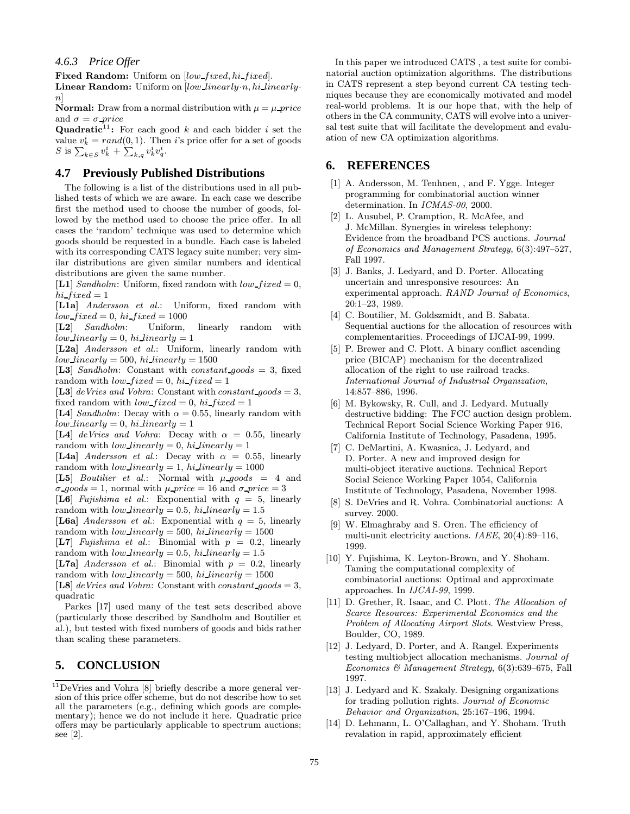## *4.6.3 Price Offer*

Fixed Random: Uniform on [low\_fixed, hi\_fixed].

**Linear Random:** Uniform on  $[low\_linearly \cdot n, hi\_linearly \cdot$  $n$ 

**Normal:** Draw from a normal distribution with  $\mu = \mu$  price and  $\sigma = \sigma$ -price

**Quadratic**<sup>11</sup>: For each good k and each bidder i set the value  $v_k^i = rand(0, 1)$ . Then *i*'s price offer for a set of goods S is  $\sum_{k \in S} v_k^i + \sum_{k,q} v_k^i v_q^i$ .

#### **4.7 Previously Published Distributions**

The following is a list of the distributions used in all published tests of which we are aware. In each case we describe first the method used to choose the number of goods, followed by the method used to choose the price offer. In all cases the 'random' technique was used to determine which goods should be requested in a bundle. Each case is labeled with its corresponding CATS legacy suite number; very similar distributions are given similar numbers and identical distributions are given the same number.

[L1] Sandholm: Uniform, fixed random with  $low\_fixed = 0$ , hi\_fixed  $= 1$ 

[L1a] Andersson et al.: Uniform, fixed random with  $low\_fixed = 0, hi\_fixed = 1000$ 

[L2] Sandholm: Uniform, linearly random with  $low\,linearly=0, \,hi\,linearly=1$ 

[L2a] Andersson et al.: Uniform, linearly random with  $low\,Linearly = 500, \, hil\,linearly = 1500$ 

[L3] Sandholm: Constant with constant goods = 3, fixed random with  $low\_fixed = 0$ , hi  $fixed = 1$ 

[L3] deVries and Vohra: Constant with constant goods  $= 3$ , fixed random with  $low\_fixed = 0$ ,  $hi\_fixed = 1$ 

[L4] Sandholm: Decay with  $\alpha = 0.55$ , linearly random with  $low\,linearly=0, \,hi\,linearly=1$ 

[L4] deVries and Vohra: Decay with  $\alpha = 0.55$ , linearly random with  $low\,Linearly = 0, \,hi\,Linearly = 1$ 

[L4a] Andersson et al.: Decay with  $\alpha = 0.55$ , linearly random with  $low\,linearly = 1, \,hi\,Linearly = 1000$ 

[L5] *Boutilier et al.*: Normal with  $\mu$ -goods = 4 and  $\sigma$  goods = 1, normal with  $\mu$  price = 16 and  $\sigma$  price = 3

[L6] Fujishima et al.: Exponential with  $q = 5$ , linearly random with *low linearly* = 0.5, *hi linearly* = 1.5

[L6a] Andersson et al.: Exponential with  $q = 5$ , linearly random with  $low\_linearly = 500$ ,  $hi\_linearly = 1500$ 

[L7] Fujishima et al.: Binomial with  $p = 0.2$ , linearly random with  $low\,Linearly = 0.5, \, hil\,energy = 1.5$ 

[L7a] Andersson et al.: Binomial with  $p = 0.2$ , linearly random with *low linearly* = 500, *hi linearly* = 1500

[L8] de Vries and Vohra: Constant with constant  $q$ oods = 3, quadratic

Parkes [17] used many of the test sets described above (particularly those described by Sandholm and Boutilier et al.), but tested with fixed numbers of goods and bids rather than scaling these parameters.

## **5. CONCLUSION**

In this paper we introduced CATS , a test suite for combinatorial auction optimization algorithms. The distributions in CATS represent a step beyond current CA testing techniques because they are economically motivated and model real-world problems. It is our hope that, with the help of others in the CA community, CATS will evolve into a universal test suite that will facilitate the development and evaluation of new CA optimization algorithms.

## **6. REFERENCES**

- [1] A. Andersson, M. Tenhnen, , and F. Ygge. Integer programming for combinatorial auction winner determination. In *ICMAS-00*, 2000.
- [2] L. Ausubel, P. Cramption, R. McAfee, and J. McMillan. Synergies in wireless telephony: Evidence from the broadband PCS auctions. Journal of Economics and Management Strategy, 6(3):497–527, Fall 1997.
- [3] J. Banks, J. Ledyard, and D. Porter. Allocating uncertain and unresponsive resources: An experimental approach. RAND Journal of Economics, 20:1–23, 1989.
- [4] C. Boutilier, M. Goldszmidt, and B. Sabata. Sequential auctions for the allocation of resources with complementarities. Proceedings of IJCAI-99, 1999.
- [5] P. Brewer and C. Plott. A binary conflict ascending price (BICAP) mechanism for the decentralized allocation of the right to use railroad tracks. International Journal of Industrial Organization, 14:857–886, 1996.
- [6] M. Bykowsky, R. Cull, and J. Ledyard. Mutually destructive bidding: The FCC auction design problem. Technical Report Social Science Working Paper 916, California Institute of Technology, Pasadena, 1995.
- [7] C. DeMartini, A. Kwasnica, J. Ledyard, and D. Porter. A new and improved design for multi-object iterative auctions. Technical Report Social Science Working Paper 1054, California Institute of Technology, Pasadena, November 1998.
- [8] S. DeVries and R. Vohra. Combinatorial auctions: A survey. 2000.
- [9] W. Elmaghraby and S. Oren. The efficiency of multi-unit electricity auctions. IAEE, 20(4):89–116, 1999.
- [10] Y. Fujishima, K. Leyton-Brown, and Y. Shoham. Taming the computational complexity of combinatorial auctions: Optimal and approximate approaches. In IJCAI-99, 1999.
- [11] D. Grether, R. Isaac, and C. Plott. The Allocation of Scarce Resources: Experimental Economics and the Problem of Allocating Airport Slots. Westview Press, Boulder, CO, 1989.
- [12] J. Ledvard, D. Porter, and A. Rangel. Experiments testing multiobject allocation mechanisms. Journal of Economics & Management Strategy,  $6(3):639-675$ , Fall 1997.
- [13] J. Ledyard and K. Szakaly. Designing organizations for trading pollution rights. Journal of Economic Behavior and Organization, 25:167–196, 1994.
- [14] D. Lehmann, L. O'Callaghan, and Y. Shoham. Truth revalation in rapid, approximately efficient

<sup>11</sup>DeVries and Vohra [8] briefly describe a more general version of this price offer scheme, but do not describe how to set all the parameters (e.g., defining which goods are complementary); hence we do not include it here. Quadratic price offers may be particularly applicable to spectrum auctions; see [2].